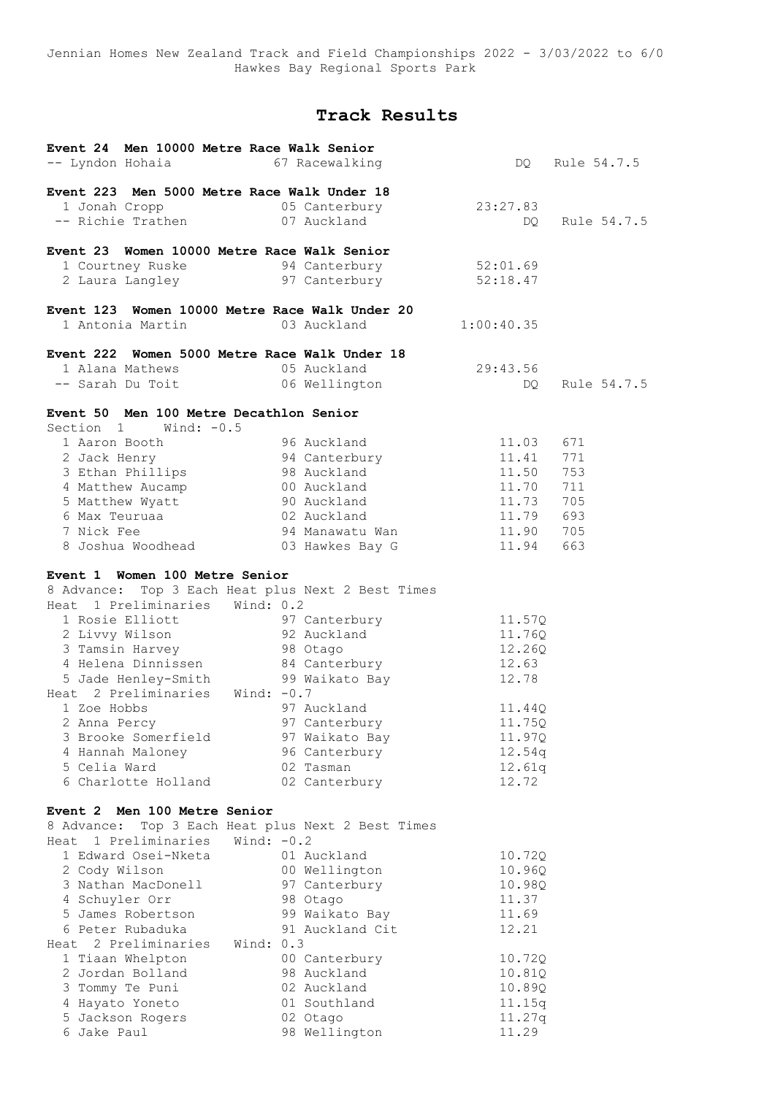Jennian Homes New Zealand Track and Field Championships 2022 - 3/03/2022 to 6/0 Hawkes Bay Regional Sports Park

# **Track Results**

| Event 24 Men 10000 Metre Race Walk Senior<br>-- Lyndon Hohaia 67 Racewalking                              |                             |            | DO Rule 54.7.5 |
|-----------------------------------------------------------------------------------------------------------|-----------------------------|------------|----------------|
| Event 223 Men 5000 Metre Race Walk Under 18                                                               |                             |            |                |
|                                                                                                           | 1 Jonah Cropp 65 Canterbury | 23:27.83   |                |
| -- Richie Trathen 07 Auckland                                                                             |                             | DQ.        | Rule 54.7.5    |
| Event 23 Women 10000 Metre Race Walk Senior                                                               |                             |            |                |
|                                                                                                           |                             | 52:01.69   |                |
| 1 Courtney Ruske                         94 Canterbury<br>2 Laura Langley                   97 Canterbury | 97 Canterbury               | 52:18.47   |                |
|                                                                                                           |                             |            |                |
| Event 123 Women 10000 Metre Race Walk Under 20                                                            |                             |            |                |
| 1 Antonia Martin                                                                                          | 03 Auckland                 | 1:00:40.35 |                |
| Event 222 Women 5000 Metre Race Walk Under 18                                                             |                             |            |                |
|                                                                                                           |                             | 29:43.56   |                |
| 1 Alana Mathews 05 Auckland<br>-- Sarah Du Toit 06 Wellington                                             |                             | DQ.        | Rule 54.7.5    |
| Event 50 Men 100 Metre Decathlon Senior<br>Section 1 Wind: -0.5                                           |                             |            |                |
| 1 Aaron Booth                                                                                             | 96 Auckland                 | 11.03      | 671            |
| 2 Jack Henry 194 Canterbury                                                                               |                             | 11.41      | 771            |
| 3 Ethan Phillips                                                                                          | 98 Auckland                 | 11.50      | 753            |
| 3 Echan Fortner<br>4 Matthew Aucamp<br>5 Matthew Wyatt<br>6 Max Teuruaa                                   | 00 Auckland                 | 11.70      | 711            |
|                                                                                                           | 90 Auckland                 | 11.73      | 705            |
|                                                                                                           |                             | 11.79 693  |                |
|                                                                                                           |                             | 11.90 705  |                |
|                                                                                                           |                             | 11.94      | 663            |
| Event 1 Women 100 Metre Senior                                                                            |                             |            |                |
| 8 Advance: Top 3 Each Heat plus Next 2 Best Times                                                         |                             |            |                |
| Heat 1 Preliminaries Wind: 0.2                                                                            |                             |            |                |
| 1 Rosie Elliott 197 Canterbury<br>2 Livvy Wilson 1982 Auckland                                            |                             | 11.57Q     |                |
|                                                                                                           |                             | 11.76Q     |                |
|                                                                                                           |                             | 12.26Q     |                |
|                                                                                                           |                             | 12.63      |                |
|                                                                                                           |                             | 12.78      |                |
| Heat 2 Preliminaries Wind: $-0.7$                                                                         |                             |            |                |
| 1 Zoe Hobbs                                                                                               | 97 Auckland                 | 11.44Q     |                |
| 2 Anna Percy                                                                                              | 97 Canterbury               | 11.75Q     |                |
| 3 Brooke Somerfield                                                                                       | 97 Waikato Bay              | 11.97Q     |                |
| 4 Hannah Maloney                                                                                          | 96 Canterbury               | 12.54q     |                |
| 5 Celia Ward                                                                                              | 02 Tasman                   | 12.61q     |                |
| 6 Charlotte Holland                                                                                       | 02 Canterbury               | 12.72      |                |
| Event 2 Men 100 Metre Senior                                                                              |                             |            |                |
| 8 Advance: Top 3 Each Heat plus Next 2 Best Times                                                         |                             |            |                |
| Heat 1 Preliminaries Wind: -0.2                                                                           |                             |            |                |
| 1 Edward Osei-Nketa                                                                                       | 01 Auckland                 | 10.720     |                |
| 2 Cody Wilson                                                                                             | 00 Wellington               | 10.96Q     |                |
| 3 Nathan MacDonell                                                                                        | 97 Canterbury               | 10.98Q     |                |
| 4 Schuyler Orr                                                                                            | 98 Otago                    | 11.37      |                |
| 5 James Robertson                                                                                         | 99 Waikato Bay              | 11.69      |                |
| 6 Peter Rubaduka                                                                                          | 91 Auckland Cit             | 12.21      |                |
| Heat 2 Preliminaries                                                                                      | Wind: 0.3                   |            |                |
| 1 Tiaan Whelpton                                                                                          | 00 Canterbury               | 10.72Q     |                |
| 2 Jordan Bolland                                                                                          | 98 Auckland                 | 10.81Q     |                |
| 3 Tommy Te Puni                                                                                           | 02 Auckland                 | 10.89Q     |                |
| 4 Hayato Yoneto                                                                                           | 01 Southland                | 11.15q     |                |
| 5 Jackson Rogers                                                                                          | 02 Otago                    | 11.27q     |                |
| 6 Jake Paul                                                                                               | 98 Wellington               | 11.29      |                |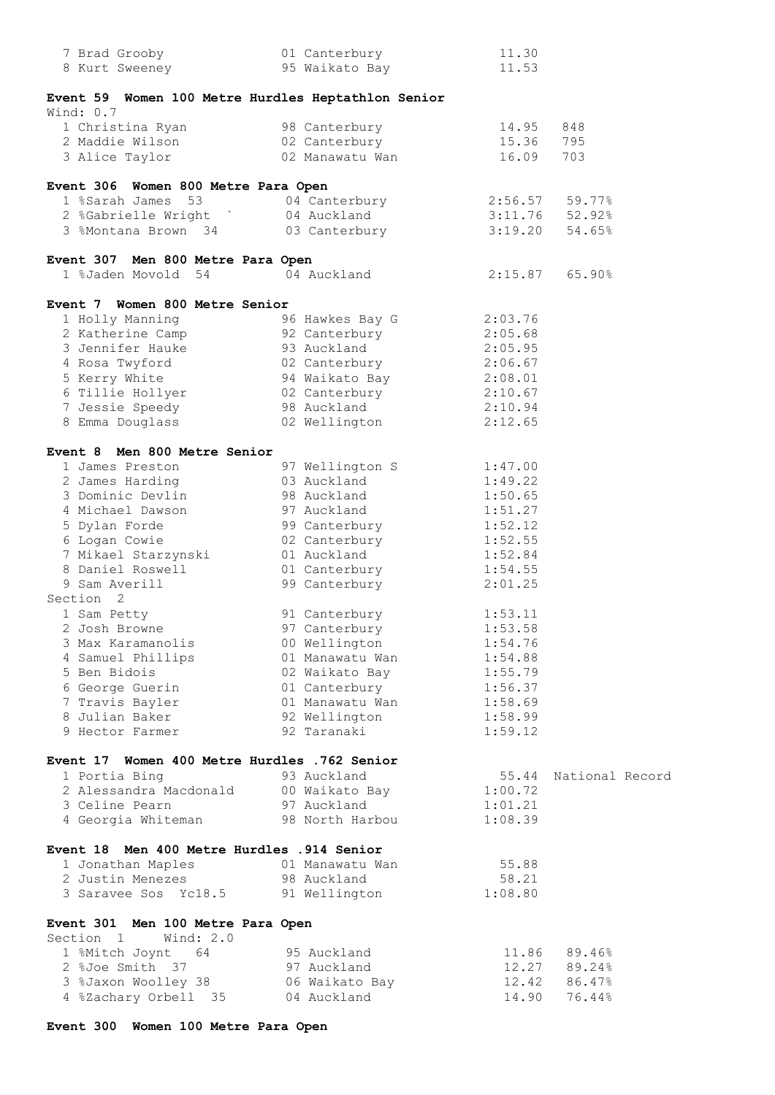| 7 Brad Grooby                                      | 01 Canterbury           | 11.30            |                  |
|----------------------------------------------------|-------------------------|------------------|------------------|
| 8 Kurt Sweeney                                     | 95 Waikato Bay          | 11.53            |                  |
|                                                    |                         |                  |                  |
| Event 59 Women 100 Metre Hurdles Heptathlon Senior |                         |                  |                  |
| Wind: 0.7                                          |                         |                  |                  |
|                                                    |                         |                  |                  |
| 1 Christina Ryan                                   | 98 Canterbury           | 14.95            | 848              |
| 2 Maddie Wilson                                    | 02 Canterbury           | 15.36            | 795              |
| 3 Alice Taylor                                     | 02 Manawatu Wan         | 16.09            | 703              |
|                                                    |                         |                  |                  |
| Event 306 Women 800 Metre Para Open                |                         |                  |                  |
| 1 %Sarah James 53                                  | 04 Canterbury           | $2:56.57$ 59.77% |                  |
| 2 %Gabrielle Wright ` 04 Auckland                  |                         | $3:11.76$ 52.92% |                  |
| 3 %Montana Brown 34 03 Canterbury                  |                         |                  | $3:19.20$ 54.65% |
|                                                    |                         |                  |                  |
| Event 307 Men 800 Metre Para Open                  |                         |                  |                  |
| 1 %Jaden Movold 54                                 | 04 Auckland             | $2:15.87$ 65.90% |                  |
|                                                    |                         |                  |                  |
| Event 7 Women 800 Metre Senior                     |                         |                  |                  |
|                                                    |                         | 2:03.76          |                  |
| 1 Holly Manning                                    | 96 Hawkes Bay G         |                  |                  |
| 2 Katherine Camp                                   | 92 Canterbury           | 2:05.68          |                  |
| 3 Jennifer Hauke                                   | 93 Auckland             | 2:05.95          |                  |
| 4 Rosa Twyford                                     | 02 Canterbury           | 2:06.67          |                  |
| 5 Kerry White                                      | 94 Waikato Bay          | 2:08.01          |                  |
| 6 Tillie Hollyer                                   | 02 Canterbury           | 2:10.67          |                  |
| 7 Jessie Speedy                                    | 98 Auckland             | 2:10.94          |                  |
| 8 Emma Douglass                                    | 02 Wellington           | 2:12.65          |                  |
|                                                    |                         |                  |                  |
| Event 8 Men 800 Metre Senior                       |                         |                  |                  |
| 1 James Preston                                    | 97 Wellington S 1:47.00 |                  |                  |
| 2 James Harding                                    | 03 Auckland             | 1:49.22          |                  |
| 3 Dominic Devlin                                   | 98 Auckland             | 1:50.65          |                  |
|                                                    |                         |                  |                  |
| 4 Michael Dawson                                   | 97 Auckland             | 1:51.27          |                  |
| 5 Dylan Forde                                      | 99 Canterbury           | 1:52.12          |                  |
| 6 Logan Cowie                                      | 02 Canterbury           | 1:52.55          |                  |
| 7 Mikael Starzynski<br>8 Daniel Roswell            | 01 Auckland             | 1:52.84          |                  |
|                                                    | 01 Canterbury           | 1:54.55          |                  |
| 9 Sam Averill                                      | 99 Canterbury           | 2:01.25          |                  |
| Section <sub>2</sub>                               |                         |                  |                  |
| 1 Sam Petty                                        | 91 Canterbury           | 1:53.11          |                  |
| 2 Josh Browne                                      | 97 Canterbury           | 1:53.58          |                  |
| 3 Max Karamanolis                                  | 00 Wellington           | 1:54.76          |                  |
| 4 Samuel Phillips                                  | 01 Manawatu Wan         | 1:54.88          |                  |
| 5 Ben Bidois                                       | 02 Waikato Bay          | 1:55.79          |                  |
| 6 George Guerin                                    | 01 Canterbury           | 1:56.37          |                  |
| 7 Travis Bayler                                    | 01 Manawatu Wan         | 1:58.69          |                  |
|                                                    |                         |                  |                  |
| 8 Julian Baker                                     | 92 Wellington           | 1:58.99          |                  |
| 9 Hector Farmer                                    | 92 Taranaki             | 1:59.12          |                  |
|                                                    |                         |                  |                  |
| Event 17 Women 400 Metre Hurdles .762 Senior       |                         |                  |                  |
| 1 Portia Bing                                      | 93 Auckland             | 55.44            | National Record  |
| 2 Alessandra Macdonald                             | 00 Waikato Bay          | 1:00.72          |                  |
| 3 Celine Pearn                                     | 97 Auckland             | 1:01.21          |                  |
| 4 Georgia Whiteman                                 | 98 North Harbou         | 1:08.39          |                  |
|                                                    |                         |                  |                  |
| Event 18 Men 400 Metre Hurdles .914 Senior         |                         |                  |                  |
| 1 Jonathan Maples                                  | 01 Manawatu Wan         | 55.88            |                  |
| 2 Justin Menezes                                   | 98 Auckland             | 58.21            |                  |
| 3 Saravee Sos Yc18.5                               |                         | 1:08.80          |                  |
|                                                    | 91 Wellington           |                  |                  |
|                                                    |                         |                  |                  |
| Event 301 Men 100 Metre Para Open                  |                         |                  |                  |
| Section 1 Wind: 2.0                                |                         |                  |                  |
| 1 %Mitch Joynt 64                                  | 95 Auckland             |                  | 11.86 89.46%     |
| 2 %Joe Smith 37                                    | 97 Auckland             |                  | 12.27 89.24%     |
| 3 %Jaxon Woolley 38                                | 06 Waikato Bay          |                  | 12.42 86.47%     |
| 4 %Zachary Orbell 35                               | 04 Auckland             | 14.90            | 76.44%           |

# **Event 300 Women 100 Metre Para Open**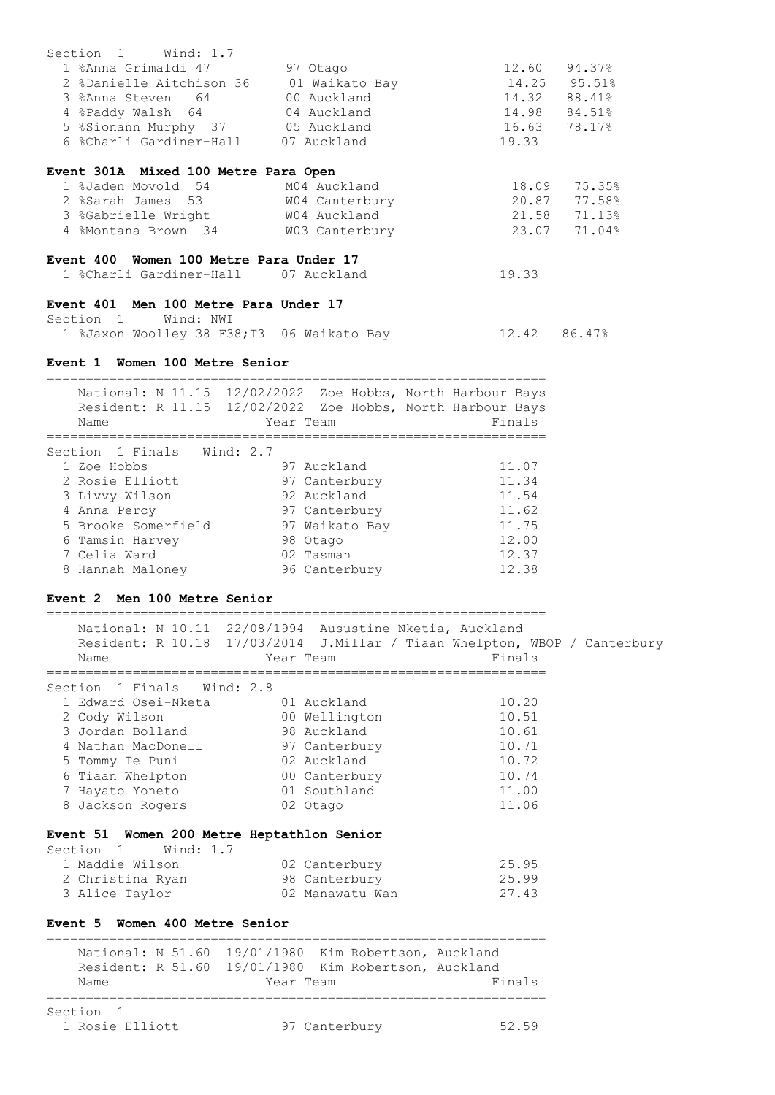| Section 1 Wind: 1.7                        |                                                                                                                                               |                  |              |
|--------------------------------------------|-----------------------------------------------------------------------------------------------------------------------------------------------|------------------|--------------|
|                                            | 1 %Anna Grimaldi 47 97 Otago<br>1 %Anna Grimaldi 47<br>2 %Danielle Aitchison 36 01 Waikato Bay<br>3 %Anna Steven 64 00 Auckland               | 12.60 94.37%     |              |
|                                            |                                                                                                                                               | 14.25 95.51%     |              |
|                                            |                                                                                                                                               | 14.32 88.41%     |              |
|                                            | 4 %Paddy Walsh 64 04 Auckland                                                                                                                 | 14.98 84.51%     |              |
|                                            | 5 %Sionann Murphy 37 05 Auckland                                                                                                              | 16.63 78.17%     |              |
|                                            | 6 %Charli Gardiner-Hall 07 Auckland                                                                                                           | 19.33            |              |
|                                            |                                                                                                                                               |                  |              |
| Event 301A Mixed 100 Metre Para Open       |                                                                                                                                               |                  |              |
|                                            |                                                                                                                                               |                  | 18.09 75.35% |
|                                            |                                                                                                                                               | 20.87 77.58%     |              |
|                                            |                                                                                                                                               | $21.58$ $71.13%$ |              |
|                                            | 1 %Jaden Movold 54 M04 Auckland<br>2 %Sarah James 53 M04 Canterbury<br>3 %Gabrielle Wright M04 Auckland<br>4 %Montana Brown 34 M03 Canterbury | 23.07 71.04%     |              |
| Event 400 Women 100 Metre Para Under 17    |                                                                                                                                               |                  |              |
|                                            | 1 %Charli Gardiner-Hall 07 Auckland                                                                                                           | 19.33            |              |
|                                            |                                                                                                                                               |                  |              |
| Event 401 Men 100 Metre Para Under 17      |                                                                                                                                               |                  |              |
| Section 1 Wind: NWI                        |                                                                                                                                               |                  |              |
|                                            | 1 %Jaxon Woolley 38 F38;T3 06 Waikato Bay                                                                                                     | 12.42 86.47%     |              |
|                                            |                                                                                                                                               |                  |              |
| Event 1 Women 100 Metre Senior             |                                                                                                                                               |                  |              |
|                                            |                                                                                                                                               |                  |              |
|                                            | National: N 11.15 12/02/2022 Zoe Hobbs, North Harbour Bays                                                                                    |                  |              |
|                                            | Resident: R 11.15 12/02/2022 Zoe Hobbs, North Harbour Bays                                                                                    |                  |              |
| Name                                       | Year Team                                                                                                                                     | Finals           |              |
|                                            |                                                                                                                                               |                  |              |
| Section 1 Finals Wind: 2.7                 |                                                                                                                                               |                  |              |
|                                            | 1 Zoe Hobbs<br>2 Rosie Elliott                             97 Canterbury<br>3 Livvy Wilson                   92 Auckland                      | 11.07            |              |
|                                            |                                                                                                                                               | 11.34            |              |
| 3 Livvy Wilson<br>4 Anna Percy             |                                                                                                                                               | 11.54            |              |
|                                            | 97 Canterbury                                                                                                                                 | 11.62            |              |
|                                            | 5 Brooke Somerfield 97 Waikato Bay 11.75                                                                                                      |                  |              |
| 6 Tamsin Harvey 98 Otaqo                   |                                                                                                                                               | 12.00            |              |
| 7 Celia Ward                               | 02 Tasman                                                                                                                                     | 12.37            |              |
|                                            | 8 Hannah Maloney 196 Canterbury                                                                                                               | 12.38            |              |
|                                            |                                                                                                                                               |                  |              |
| Event 2 Men 100 Metre Senior               |                                                                                                                                               |                  |              |
|                                            |                                                                                                                                               |                  |              |
|                                            | National: N 10.11 22/08/1994 Ausustine Nketia, Auckland                                                                                       |                  |              |
|                                            | Resident: R 10.18 17/03/2014 J.Millar / Tiaan Whelpton, WBOP / Canterbury                                                                     |                  |              |
| Name                                       | Year Team                                                                                                                                     | Finals           |              |
|                                            |                                                                                                                                               |                  |              |
| Section 1 Finals                           | Wind: $2.8$                                                                                                                                   |                  |              |
| 1 Edward Osei-Nketa                        | 01 Auckland                                                                                                                                   | 10.20            |              |
| 2 Cody Wilson                              | 00 Wellington                                                                                                                                 | 10.51            |              |
| 3 Jordan Bolland                           | 98 Auckland                                                                                                                                   | 10.61            |              |
| 4 Nathan MacDonell                         | 97 Canterbury                                                                                                                                 | 10.71            |              |
| 5 Tommy Te Puni                            | 02 Auckland                                                                                                                                   | 10.72            |              |
| 6 Tiaan Whelpton                           | 00 Canterbury                                                                                                                                 | 10.74            |              |
| 7 Hayato Yoneto                            | 01 Southland                                                                                                                                  | 11.00            |              |
| 8 Jackson Rogers                           | 02 Otago                                                                                                                                      | 11.06            |              |
|                                            |                                                                                                                                               |                  |              |
| Event 51 Women 200 Metre Heptathlon Senior |                                                                                                                                               |                  |              |
| Wind: 1.7<br>Section 1                     |                                                                                                                                               |                  |              |
| 1 Maddie Wilson                            | 02 Canterbury                                                                                                                                 | 25.95            |              |
| 2 Christina Ryan                           | 98 Canterbury                                                                                                                                 | 25.99            |              |
| 3 Alice Taylor                             | 02 Manawatu Wan                                                                                                                               | 27.43            |              |
| Event 5 Women 400 Metre Senior             |                                                                                                                                               |                  |              |
|                                            |                                                                                                                                               |                  |              |
|                                            | National: N 51.60 19/01/1980 Kim Robertson, Auckland                                                                                          |                  |              |
|                                            | Resident: R 51.60 19/01/1980 Kim Robertson, Auckland                                                                                          |                  |              |
| Name                                       | Year Team                                                                                                                                     | Finals           |              |
|                                            |                                                                                                                                               |                  |              |
| Section 1                                  |                                                                                                                                               |                  |              |
| 1 Rosie Elliott                            | 97 Canterbury                                                                                                                                 | 52.59            |              |
|                                            |                                                                                                                                               |                  |              |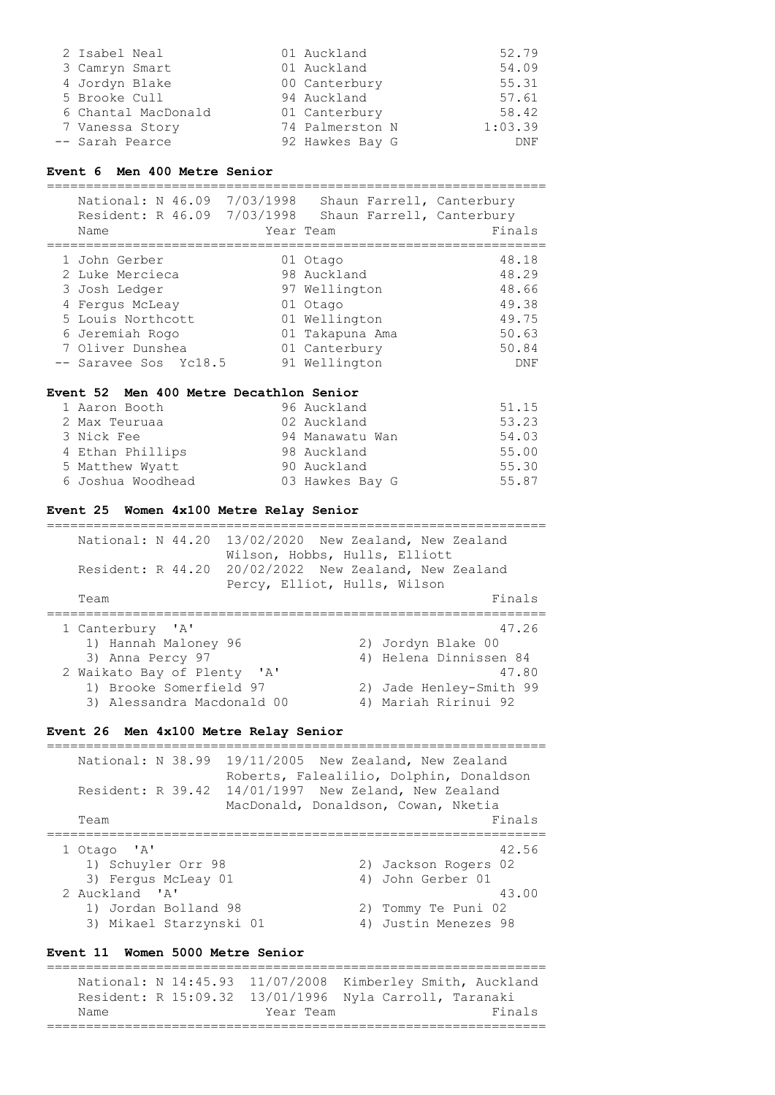| 2 Isabel Neal       | 01 Auckland     | 52.79      |
|---------------------|-----------------|------------|
| 3 Camryn Smart      | 01 Auckland     | 54.09      |
| 4 Jordyn Blake      | 00 Canterbury   | 55.31      |
| 5 Brooke Cull       | 94 Auckland     | 57.61      |
| 6 Chantal MacDonald | 01 Canterbury   | 58.42      |
| 7 Vanessa Story     | 74 Palmerston N | 1:03.39    |
| -- Sarah Pearce     | 92 Hawkes Bay G | <b>DNF</b> |

#### **Event 6 Men 400 Metre Senior**

================================================================

| National: N 46.09<br>Resident: R 46.09 7/03/1998<br>Name                                                                         | 7/03/1998 | Shaun Farrell, Canterbury<br>Shaun Farrell, Canterbury<br>Year Team                                       | Finals                                                      |
|----------------------------------------------------------------------------------------------------------------------------------|-----------|-----------------------------------------------------------------------------------------------------------|-------------------------------------------------------------|
| 1 John Gerber<br>2 Luke Mercieca<br>3 Josh Ledger<br>4 Fergus McLeay<br>5 Louis Northcott<br>6 Jeremiah Rogo<br>7 Oliver Dunshea |           | 01 Otago<br>98 Auckland<br>97 Wellington<br>01 Otago<br>01 Wellington<br>01 Takapuna Ama<br>01 Canterbury | 48.18<br>48.29<br>48.66<br>49.38<br>49.75<br>50.63<br>50.84 |
| -- Saravee Sos Yc18.5                                                                                                            |           | 91 Wellington                                                                                             | DNF                                                         |

#### **Event 52 Men 400 Metre Decathlon Senior**

| 1 Aaron Booth     | 96 Auckland     | 51.15 |
|-------------------|-----------------|-------|
| 2 Max Teuruaa     | 02 Auckland     | 53.23 |
| 3 Nick Fee        | 94 Manawatu Wan | 54.03 |
| 4 Ethan Phillips  | 98 Auckland     | 55.00 |
| 5 Matthew Wyatt   | 90 Auckland     | 55.30 |
| 6 Joshua Woodhead | 03 Hawkes Bay G | 55.87 |

================================================================

#### **Event 25 Women 4x100 Metre Relay Senior**

| National: N 44.20<br>Resident: R 44.20                                                                                                           | 13/02/2020 New Zealand, New Zealand<br>Wilson, Hobbs, Hulls, Elliott<br>20/02/2022 New Zealand, New Zealand<br>Percy, Elliot, Hulls, Wilson |                                                                                                                   |
|--------------------------------------------------------------------------------------------------------------------------------------------------|---------------------------------------------------------------------------------------------------------------------------------------------|-------------------------------------------------------------------------------------------------------------------|
| Team                                                                                                                                             |                                                                                                                                             | Finals                                                                                                            |
| 1 Canterbury 'A'<br>1) Hannah Maloney 96<br>3) Anna Percy 97<br>2 Waikato Bay of Plenty<br>1) Brooke Somerfield 97<br>3) Alessandra Macdonald 00 | $\mathsf{Z}$                                                                                                                                | 47.26<br>2) Jordyn Blake 00<br>4) Helena Dinnissen 84<br>47.80<br>2) Jade Henley-Smith 99<br>4) Mariah Ririnui 92 |

## **Event 26 Men 4x100 Metre Relay Senior**

================================================================ National: N 38.99 19/11/2005 New Zealand, New Zealand Roberts, Falealilio, Dolphin, Donaldson Resident: R 39.42 14/01/1997 New Zeland, New Zealand MacDonald, Donaldson, Cowan, Nketia<br>Finals Team Finals and the set of the set of the set of the set of the set of the set of the set of the set of the set of the set of the set of the set of the set of the set of the set of the set of the set of the set of the set ================================================================ 1 Otago 'A' 42.56<br>
1) Schuyler Orr 98 (2) Jackson Rogers 02 2) Jackson Rogers 02<br>4) John Gerber 01 3) Fergus McLeay 01 (4) John Gerber 01 (4) 43.00 2 Auckland 'A' 43.00 1) Jordan Bolland 98 2) Tommy Te Puni 02<br>3) Mikael Starzynski 01 4) Justin Menezes 98 3) Mikael Starzynski 01

#### **Event 11 Women 5000 Metre Senior**

================================================================ National: N 14:45.93 11/07/2008 Kimberley Smith, Auckland Resident: R 15:09.32 13/01/1996 Nyla Carroll, Taranaki Name **Year Team** Year Team Finals ================================================================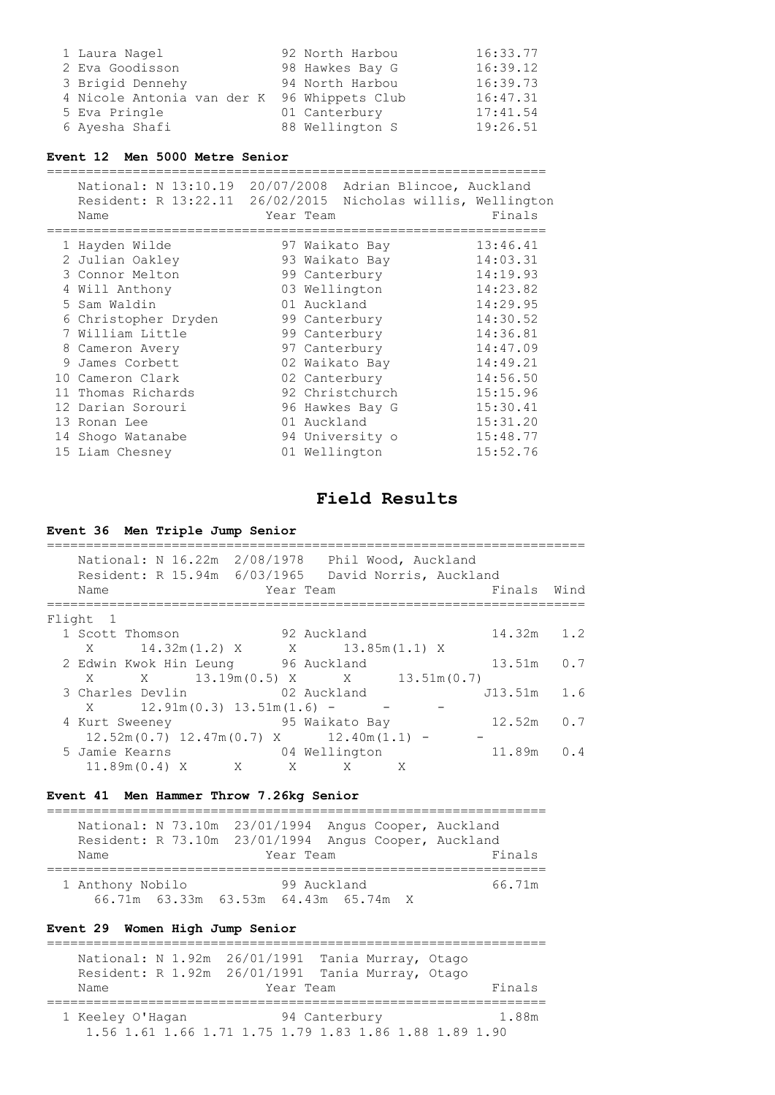| 1 Laura Nagel              | 92 North Harbou  | 16:33.77 |
|----------------------------|------------------|----------|
| 2 Eva Goodisson            | 98 Hawkes Bay G  | 16:39.12 |
| 3 Brigid Dennehy           | 94 North Harbou  | 16:39.73 |
| 4 Nicole Antonia van der K | 96 Whippets Club | 16:47.31 |
| 5 Eva Pringle              | 01 Canterbury    | 17:41.54 |
| 6 Ayesha Shafi             | 88 Wellington S  | 19:26.51 |

## **Event 12 Men 5000 Metre Senior**

|   | National: N 13:10.19 | 20/07/2008 Adrian Blincoe, Auckland    |
|---|----------------------|----------------------------------------|
|   | Resident: R 13:22.11 | 26/02/2015 Nicholas willis, Wellington |
|   | Name                 | Finals<br>Year Team                    |
|   |                      |                                        |
|   | 1 Hayden Wilde       | 13:46.41<br>97 Waikato Bay             |
| 2 | Julian Oakley        | 14:03.31<br>93 Waikato Bay             |
|   | 3 Connor Melton      | 14:19.93<br>99 Canterbury              |
|   | 4 Will Anthony       | 14:23.82<br>03 Wellington              |
|   | 5 Sam Waldin         | 14:29.95<br>01 Auckland                |
|   | 6 Christopher Dryden | 14:30.52<br>99 Canterbury              |
|   | 7 William Little     | 14:36.81<br>99 Canterbury              |
|   | 8 Cameron Avery      | 14:47.09<br>97 Canterbury              |
|   | 9 James Corbett      | 14:49.21<br>02 Waikato Bay             |
|   | 10 Cameron Clark     | 14:56.50<br>02 Canterbury              |
|   | 11 Thomas Richards   | 92 Christchurch<br>15:15.96            |
|   | 12 Darian Sorouri    | 15:30.41<br>96 Hawkes Bay G            |
|   | 13 Ronan Lee         | 15:31.20<br>01 Auckland                |
|   | 14 Shoqo Watanabe    | 15:48.77<br>94 University o            |
|   | 15 Liam Chesney      | 15:52.76<br>01 Wellington              |
|   |                      |                                        |

# **Field Results**

# **Event 36 Men Triple Jump Senior**

|                                 |  |     | National: N 16.22m 2/08/1978 Phil Wood, Auckland<br>Resident: R 15.94m 6/03/1965 David Norris, Auckland |   |         |      |
|---------------------------------|--|-----|---------------------------------------------------------------------------------------------------------|---|---------|------|
| Name                            |  |     | Year Team                                                                                               |   | Finals  | Wind |
| Flight 1                        |  |     |                                                                                                         |   |         |      |
| 1 Scott Thomson                 |  |     | 92 Auckland                                                                                             |   | 14.32m  | 1.2  |
| $X = 14.32m(1.2) X$             |  |     | X 13.85m(1.1) X                                                                                         |   |         |      |
|                                 |  |     | 2 Edwin Kwok Hin Leung 96 Auckland                                                                      |   | 13.51m  | 0.7  |
|                                 |  |     | X X 13.19m (0.5) X X 13.51m (0.7)                                                                       |   |         |      |
|                                 |  |     | 3 Charles Devlin 62 Auckland                                                                            |   | J13.51m | 1.6  |
| $X = 12.91m(0.3) 13.51m(1.6) -$ |  |     |                                                                                                         |   |         |      |
| 4 Kurt Sweeney                  |  |     | 95 Waikato Bay                                                                                          |   | 12.52m  | 0.7  |
|                                 |  |     | $12.52m(0.7)$ $12.47m(0.7)$ X $12.40m(1.1)$ -                                                           |   |         |      |
| 5 Jamie Kearns                  |  |     | 04 Wellington                                                                                           |   | 11.89m  | 0.4  |
| 11.89m(0.4) X                   |  | X X | X                                                                                                       | X |         |      |
|                                 |  |     |                                                                                                         |   |         |      |

# **Event 41 Men Hammer Throw 7.26kg Senior**

| National: N 73.10m 23/01/1994 Angus Cooper, Auckland<br>Resident: R 73.10m 23/01/1994 Angus Cooper, Auckland<br>Name | Year Team                            |             | Finals |
|----------------------------------------------------------------------------------------------------------------------|--------------------------------------|-------------|--------|
| 1 Anthony Nobilo                                                                                                     | 66.71m 63.33m 63.53m 64.43m 65.74m X | 99 Auckland | 66.71m |

# **Event 29 Women High Jump Senior**

|                  | National: N 1.92m 26/01/1991 Tania Murray, Otago                        |        |
|------------------|-------------------------------------------------------------------------|--------|
|                  | Resident: R 1.92m 26/01/1991 Tania Murray, Otago                        |        |
| Name             | Year Team                                                               | Finals |
| 1 Keeley O'Haqan | 94 Canterbury<br>1.56 1.61 1.66 1.71 1.75 1.79 1.83 1.86 1.88 1.89 1.90 | 1.88m  |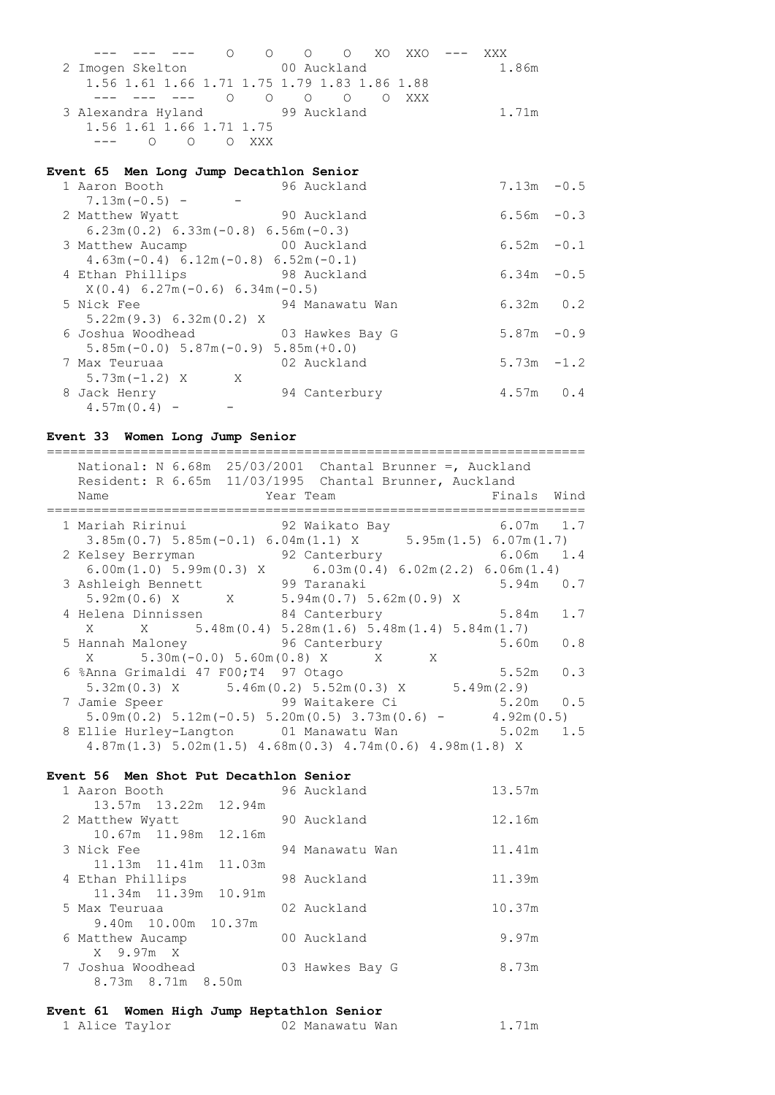--- --- --- O O O O XO XXO --- XXX 2 Imogen Skelton 00 Auckland 1.86m 1.56 1.61 1.66 1.71 1.75 1.79 1.83 1.86 1.88 --- --- --- O O O O O XXX 3 Alexandra Hyland 99 Auckland 1.71m 1.56 1.61 1.66 1.71 1.75 --- O O O XXX

#### **Event 65 Men Long Jump Decathlon Senior**

| 1 Aaron Booth                             | 96 Auckland     | $7.13m - 0.5$ |     |
|-------------------------------------------|-----------------|---------------|-----|
| $7.13m(-0.5) -$                           |                 |               |     |
| 2 Matthew Wyatt                           | 90 Auckland     | $6.56m - 0.3$ |     |
| $6.23m(0.2) 6.33m(-0.8) 6.56m(-0.3)$      |                 |               |     |
| 3 Matthew Aucamp 00 Auckland              |                 | $6.52m - 0.1$ |     |
| $4.63m(-0.4) 6.12m(-0.8) 6.52m(-0.1)$     |                 |               |     |
| 4 Ethan Phillips 98 Auckland              |                 | $6.34m - 0.5$ |     |
| $X(0.4) 6.27m(-0.6) 6.34m(-0.5)$          |                 |               |     |
| 5 Nick Fee                                | 94 Manawatu Wan | $6.32m$ $0.2$ |     |
| 5.22m(9.3) 6.32m(0.2) X                   |                 |               |     |
| 6 Joshua Woodhead 6 3 Hawkes Bay G        |                 | $5.87m - 0.9$ |     |
| $5.85m(-0.0)$ $5.87m(-0.9)$ $5.85m(+0.0)$ |                 |               |     |
| 7 Max Teuruaa                             | 02 Auckland     | $5.73m - 1.2$ |     |
| $5.73m(-1.2) X$ X                         |                 |               |     |
| 8 Jack Henry                              | 94 Canterbury   | 4.57m         | 0.4 |
| $4.57m(0.4) -$                            |                 |               |     |

## **Event 33 Women Long Jump Senior**

| National: N $6.68m$ 25/03/2001 Chantal Brunner =, Auckland<br>Resident: R 6.65m 11/03/1995 Chantal Brunner, Auckland<br>Finals Wind<br>Name<br>Year Team |
|----------------------------------------------------------------------------------------------------------------------------------------------------------|
| 1 Mariah Ririnui               92 Waikato Bay                 6.07m   1.7                                                                                |
| $3.85\text{m} (0.7)$ $5.85\text{m} (-0.1)$ $6.04\text{m} (1.1)$ X $5.95\text{m} (1.5)$ $6.07\text{m} (1.7)$                                              |
| 92 Canterbury 6.06m 1.4<br>2 Kelsey Berryman                                                                                                             |
| $6.00$ m(1.0) $5.99$ m(0.3) X 6.03m(0.4) $6.02$ m(2.2) $6.06$ m(1.4)                                                                                     |
| 3 Ashleigh Bennett 99 Taranaki<br>$5.94m$ 0.7                                                                                                            |
| $5.92m(0.6)$ X $X$ 5.94m(0.7) 5.62m(0.9) X                                                                                                               |
| 4 Helena Dinnissen 84 Canterbury<br>1.7<br>5.84m                                                                                                         |
| X X 5.48m (0.4) 5.28m (1.6) 5.48m (1.4) 5.84m (1.7)                                                                                                      |
| 5 Hannah Maloney 5 96 Canterbury<br>5.60m<br>0.8                                                                                                         |
| X 5.30m (-0.0) 5.60m (0.8) X X X                                                                                                                         |
| 6 %Anna Grimaldi 47 F00; T4 97 Otago<br>$5.52m$ 0.3                                                                                                      |
| $5.32\text{m} (0.3)$ X $5.46\text{m} (0.2)$ $5.52\text{m} (0.3)$ X $5.49\text{m} (2.9)$                                                                  |
| 7 Jamie Speer 5.20m 0.5                                                                                                                                  |
| $5.09$ m $(0.2)$ $5.12$ m $(-0.5)$ $5.20$ m $(0.5)$ $3.73$ m $(0.6)$ $ 4.92$ m $(0.5)$                                                                   |
| 8 Ellie Hurley-Langton 01 Manawatu Wan 5.02m 1.5                                                                                                         |
| $4.87m(1.3)$ 5.02m(1.5) $4.68m(0.3)$ 4.74m(0.6) $4.98m(1.8)$ X                                                                                           |

## **Event 56 Men Shot Put Decathlon Senior**

| 1 Aaron Booth          | 96 Auckland     | 13.57m |
|------------------------|-----------------|--------|
| 13.57m 13.22m 12.94m   |                 |        |
| 2 Matthew Wyatt        | 90 Auckland     | 12.16m |
| 10.67m 11.98m 12.16m   |                 |        |
| 3 Nick Fee             | 94 Manawatu Wan | 11.41m |
| 11.13m  11.41m  11.03m |                 |        |
| 4 Ethan Phillips       | 98 Auckland     | 11.39m |
| 11.34m 11.39m 10.91m   |                 |        |
| 5 Max Teuruaa          | 02 Auckland     | 10.37m |
| 9.40m 10.00m 10.37m    |                 |        |
| 6 Matthew Aucamp       | 00 Auckland     | 9.97m  |
| X 9.97m X              |                 |        |
| 7 Joshua Woodhead      | 03 Hawkes Bay G | 8.73m  |
| 8.73m 8.71m 8.50m      |                 |        |
|                        |                 |        |

#### **Event 61 Women High Jump Heptathlon Senior**

| 1 Alice Taylor | 02 Manawatu Wan | 1.71m |
|----------------|-----------------|-------|
|----------------|-----------------|-------|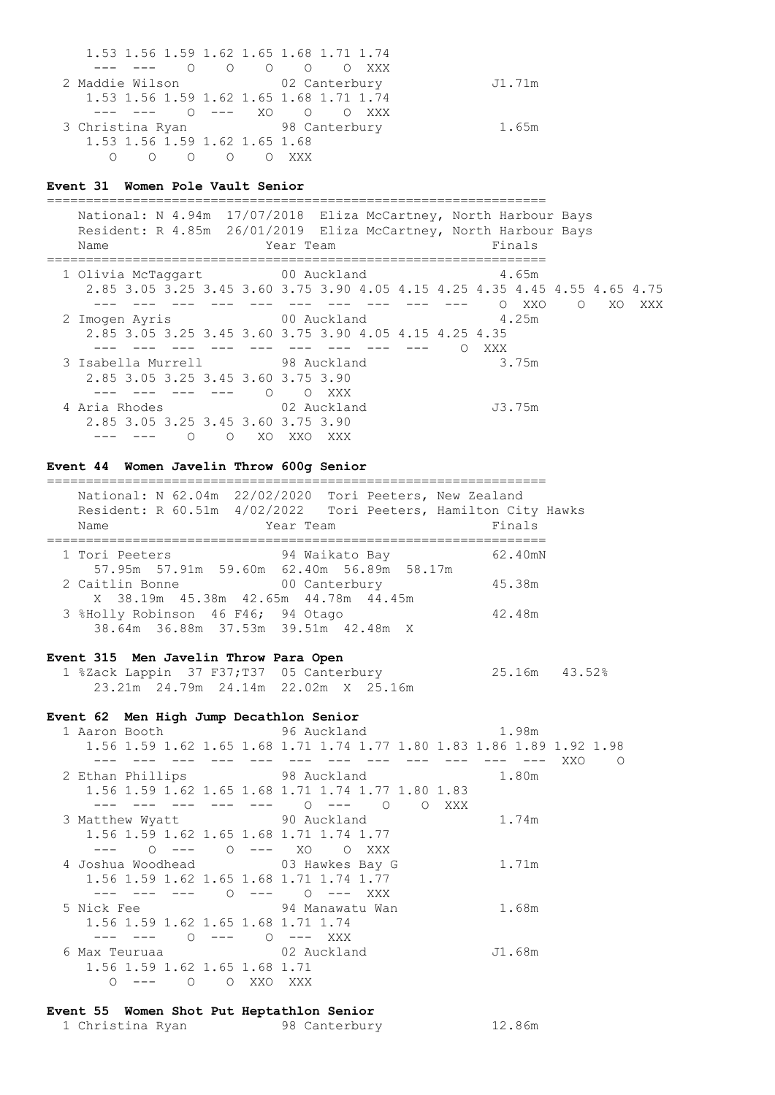1.53 1.56 1.59 1.62 1.65 1.68 1.71 1.74 --- --- O O O O O XXX 2 Maddie Wilson 02 Canterbury J1.71m 1.53 1.56 1.59 1.62 1.65 1.68 1.71 1.74 --- --- O --- XO O O XXX 3 Christina Ryan 98 Canterbury 1.65m 1.53 1.56 1.59 1.62 1.65 1.68 O O O O O XXX

#### **Event 31 Women Pole Vault Senior**

================================================================ National: N 4.94m 17/07/2018 Eliza McCartney, North Harbour Bays Resident: R 4.85m 26/01/2019 Eliza McCartney, North Harbour Bays Name **Name** Year Team **Finals** ================================================================ 1 Olivia McTaggart 00 Auckland 2.85 3.05 3.25 3.45 3.60 3.75 3.90 4.05 4.15 4.25 4.35 4.45 4.55 4.65 4.75 --- --- --- --- --- --- --- --- --- --- O XXO O XO XXX 2 Imogen Ayris 00 Auckland 2.85 3.05 3.25 3.45 3.60 3.75 3.90 4.05 4.15 4.25 4.35 --- --- --- --- --- --- --- --- --- O XXX 3 Isabella Murrell 98 Auckland 3.75m 2.85 3.05 3.25 3.45 3.60 3.75 3.90 --- --- --- --- O O XXX 4 Aria Rhodes 02 Auckland J3.75m 2.85 3.05 3.25 3.45 3.60 3.75 3.90 --- --- 0 0 XO XXO XXX

# **Event 44 Women Javelin Throw 600g Senior**

 National: N 62.04m 22/02/2020 Tori Peeters, New Zealand Resident: R 60.51m 4/02/2022 Tori Peeters, Hamilton City Hawks Name **Name** Year Team **Finals** ================================================================ 1 Tori Peeters 62.400 94 Waikato Bay 57.95m 57.91m 59.60m 62.40m 56.89m 58.17m 2 Caitlin Bonne 00 Canterbury 45.38m X 38.19m 45.38m 42.65m 44.78m 44.45m 3 %Holly Robinson 46 F46; 94 Otago 42.48m 38.64m 36.88m 37.53m 39.51m 42.48m X

================================================================

## **Event 315 Men Javelin Throw Para Open**

 1 %Zack Lappin 37 F37;T37 05 Canterbury 25.16m 43.52% 23.21m 24.79m 24.14m 22.02m X 25.16m

#### **Event 62 Men High Jump Decathlon Senior**

 1 Aaron Booth 96 Auckland 1.98m 1.56 1.59 1.62 1.65 1.68 1.71 1.74 1.77 1.80 1.83 1.86 1.89 1.92 1.98 --- --- --- --- --- --- --- --- --- --- --- --- XXO O 2 Ethan Phillips 98 Auckland 1.80m 1.56 1.59 1.62 1.65 1.68 1.71 1.74 1.77 1.80 1.83 --- --- --- --- --- 0 --- 0 0 XXX 3 Matthew Wyatt 90 Auckland 1.74m 1.56 1.59 1.62 1.65 1.68 1.71 1.74 1.77 --- O --- O --- XO O XXX 4 Joshua Woodhead 03 Hawkes Bay G 1.71m 1.56 1.59 1.62 1.65 1.68 1.71 1.74 1.77 --- --- --- 0 --- 0 --- XXX<br>5 Nick Fee 94 Manawatu War 94 Manawatu Wan 1.68m 1.56 1.59 1.62 1.65 1.68 1.71 1.74 --- --- O --- O --- XXX 6 Max Teuruaa 02 Auckland J1.68m 1.56 1.59 1.62 1.65 1.68 1.71 O --- O O XXO XXX

## **Event 55 Women Shot Put Heptathlon Senior**

|  | 1 Christina Ryan |  |  | 98 Canterbury | 12.86m |
|--|------------------|--|--|---------------|--------|
|--|------------------|--|--|---------------|--------|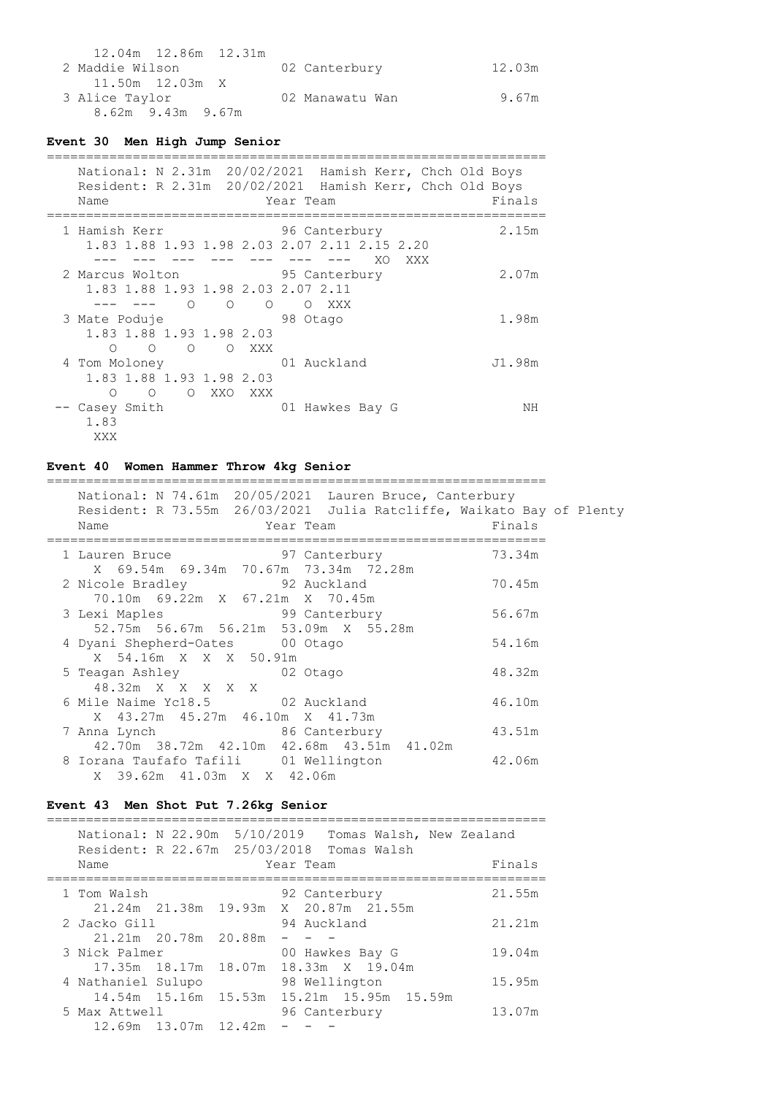| 2 Maddie Wilson   | 02 Canterbury   | 12.03m |
|-------------------|-----------------|--------|
|                   |                 |        |
| 3 Alice Taylor    | 02 Manawatu Wan | 9.67m  |
| 8.62m 9.43m 9.67m |                 |        |

## **Event 30 Men High Jump Senior**

| Name                                                                                                    | National: N 2.31m 20/02/2021 Hamish Kerr, Chch Old Boys<br>Resident: R 2.31m 20/02/2021 Hamish Kerr, Chch Old Boys<br>Year Team | Finals |
|---------------------------------------------------------------------------------------------------------|---------------------------------------------------------------------------------------------------------------------------------|--------|
| 1 Hamish Kerr<br>1.83 1.88 1.93 1.98 2.03 2.07 2.11 2.15 2.20                                           | 96 Canterbury<br>XO<br>XXX                                                                                                      | 2.15m  |
| 2 Marcus Wolton 95 Canterbury<br>1.83 1.88 1.93 1.98 2.03 2.07 2.11<br>$\Omega$<br>$\Omega$<br>$\Omega$ | XXX<br>$\circ$                                                                                                                  | 2.07m  |
| 3 Mate Poduje<br>1.83 1.88 1.93 1.98 2.03<br>$\circ$<br>$\circ$<br>$\circ$<br>O XXX                     | 98 Otago                                                                                                                        | 1.98m  |
| 4 Tom Moloney<br>1.83 1.88 1.93 1.98 2.03<br>O O XXO<br>XXX<br>∩                                        | 01 Auckland                                                                                                                     | J1.98m |
| Casey Smith<br>1.83<br>XXX                                                                              | 01 Hawkes Bay G                                                                                                                 | NΗ     |

# **Event 40 Women Hammer Throw 4kg Senior**

================================================================  $National: N 74.61m 20/05/2021$  La

| National: N 74.61m 20705/2021 Lauren Bruce, Canterbury               |        |
|----------------------------------------------------------------------|--------|
| Resident: R 73.55m 26/03/2021 Julia Ratcliffe, Waikato Bay of Plenty |        |
| Name<br>Year Team                                                    | Finals |
|                                                                      |        |
| 1 Lauren Bruce 697 Canterbury                                        | 73.34m |
| X 69.54m 69.34m 70.67m 73.34m 72.28m                                 |        |
| 2 Nicole Bradley 92 Auckland                                         | 70.45m |
| 70.10m 69.22m X 67.21m X 70.45m                                      |        |
| 3 Lexi Maples 99 Canterbury                                          | 56.67m |
| 52.75m 56.67m 56.21m 53.09m X 55.28m                                 |        |
| 4 Dyani Shepherd-Oates 00 Otago                                      | 54.16m |
| X 54.16m X X X 50.91m                                                |        |
| 5 Teagan Ashley 62 Otago                                             | 48.32m |
| 48.32m X X X X X                                                     |        |
| 6 Mile Naime Yc18.5 02 Auckland                                      | 46.10m |
| X 43.27m 45.27m 46.10m X 41.73m                                      |        |
| 7 Anna Lynch 1986 86 Canterbury                                      | 43.51m |
| 42.70m 38.72m 42.10m 42.68m 43.51m 41.02m                            |        |
| 8 Iorana Taufafo Tafili 01 Wellington 642.06m                        |        |
| X 39.62m 41.03m X X 42.06m                                           |        |

# **Event 43 Men Shot Put 7.26kg Senior**

| National: N 22.90m 5/10/2019<br>Resident: R 22.67m 25/03/2018 |                                      |        |           |                 | Tomas Walsh, New Zealand<br>Tomas Walsh |        |
|---------------------------------------------------------------|--------------------------------------|--------|-----------|-----------------|-----------------------------------------|--------|
| Name                                                          |                                      |        | Year Team |                 |                                         | Finals |
| 1 Tom Walsh                                                   |                                      |        |           | 92 Canterbury   |                                         | 21.55m |
| 2 Jacko Gill                                                  | 21.24m 21.38m 19.93m X 20.87m 21.55m |        |           | 94 Auckland     |                                         | 21.21m |
|                                                               | 21.21m 20.78m 20.88m                 |        |           |                 |                                         |        |
| 3 Nick Palmer                                                 |                                      | 18.07m |           | 00 Hawkes Bay G | 18.33m X 19.04m                         | 19.04m |
| 4 Nathaniel Sulupo                                            |                                      |        |           | 98 Wellington   |                                         | 15.95m |
| 5 Max Attwell                                                 | 14.54m 15.16m                        | 15.53m |           | 96 Canterbury   | 15.21m 15.95m 15.59m                    | 13.07m |
|                                                               | 12.69m 13.07m 12.42m                 |        |           |                 |                                         |        |